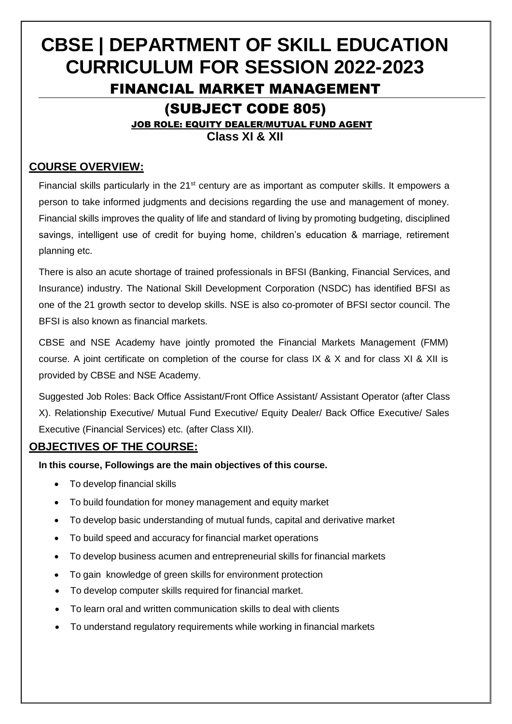# **CBSE | DEPARTMENT OF SKILL EDUCATION CURRICULUM FOR SESSION 2022-2023** FINANCIAL MARKET MANAGEMENT (SUBJECT CODE 805) JOB ROLE: EQUITY DEALER/MUTUAL FUND AGENT **Class XI & XII**

## **COURSE OVERVIEW:**

Financial skills particularly in the 21<sup>st</sup> century are as important as computer skills. It empowers a person to take informed judgments and decisions regarding the use and management of money. Financial skills improves the quality of life and standard of living by promoting budgeting, disciplined savings, intelligent use of credit for buying home, children's education & marriage, retirement planning etc.

There is also an acute shortage of trained professionals in BFSI (Banking, Financial Services, and Insurance) industry. The National Skill Development Corporation (NSDC) has identified BFSI as one of the 21 growth sector to develop skills. NSE is also co-promoter of BFSI sector council. The BFSI is also known as financial markets.

CBSE and NSE Academy have jointly promoted the Financial Markets Management (FMM) course. A joint certificate on completion of the course for class IX & X and for class XI & XII is provided by CBSE and NSE Academy.

Suggested Job Roles: Back Office Assistant/Front Office Assistant/ Assistant Operator (after Class X). Relationship Executive/ Mutual Fund Executive/ Equity Dealer/ Back Office Executive/ Sales Executive (Financial Services) etc. (after Class XII).

## **OBJECTIVES OF THE COURSE:**

**In this course, Followings are the main objectives of this course.**

- To develop financial skills
- To build foundation for money management and equity market
- To develop basic understanding of mutual funds, capital and derivative market
- To build speed and accuracy for financial market operations
- To develop business acumen and entrepreneurial skills for financial markets
- To gain knowledge of green skills for environment protection
- To develop computer skills required for financial market.
- To learn oral and written communication skills to deal with clients
- To understand regulatory requirements while working in financial markets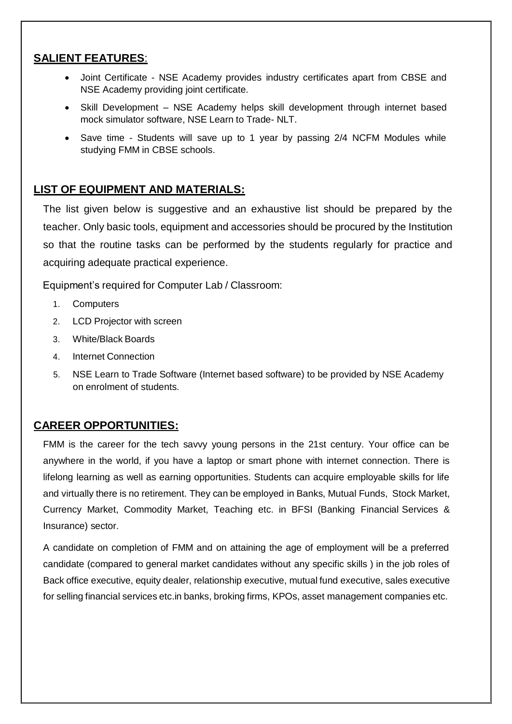#### **SALIENT FEATURES**:

- Joint Certificate NSE Academy provides industry certificates apart from CBSE and NSE Academy providing joint certificate.
- Skill Development NSE Academy helps skill development through internet based mock simulator software, NSE Learn to Trade- NLT.
- Save time Students will save up to 1 year by passing 2/4 NCFM Modules while studying FMM in CBSE schools.

### **LIST OF EQUIPMENT AND MATERIALS:**

The list given below is suggestive and an exhaustive list should be prepared by the teacher. Only basic tools, equipment and accessories should be procured by the Institution so that the routine tasks can be performed by the students regularly for practice and acquiring adequate practical experience.

Equipment's required for Computer Lab / Classroom:

- 1. Computers
- 2. LCD Projector with screen
- 3. White/Black Boards
- 4. Internet Connection
- 5. NSE Learn to Trade Software (Internet based software) to be provided by NSE Academy on enrolment of students.

## **CAREER OPPORTUNITIES:**

FMM is the career for the tech savvy young persons in the 21st century. Your office can be anywhere in the world, if you have a laptop or smart phone with internet connection. There is lifelong learning as well as earning opportunities. Students can acquire employable skills for life and virtually there is no retirement. They can be employed in Banks, Mutual Funds, Stock Market, Currency Market, Commodity Market, Teaching etc. in BFSI (Banking Financial Services & Insurance) sector.

A candidate on completion of FMM and on attaining the age of employment will be a preferred candidate (compared to general market candidates without any specific skills ) in the job roles of Back office executive, equity dealer, relationship executive, mutual fund executive, sales executive for selling financial services etc.in banks, broking firms, KPOs, asset management companies etc.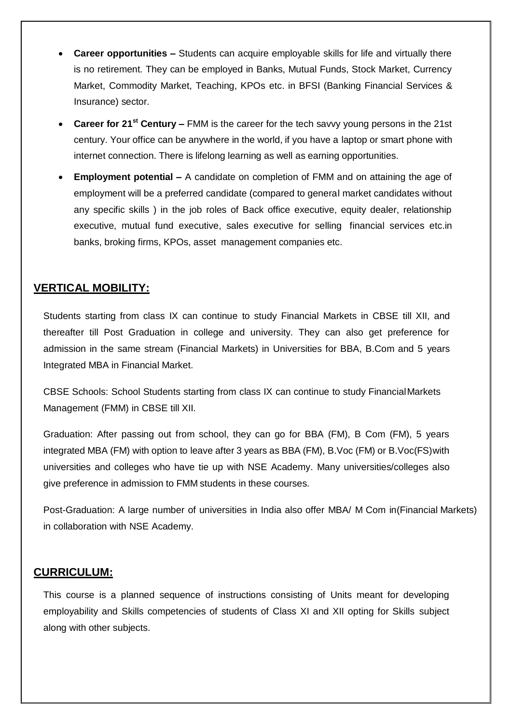- **Career opportunities –** Students can acquire employable skills for life and virtually there is no retirement. They can be employed in Banks, Mutual Funds, Stock Market, Currency Market, Commodity Market, Teaching, KPOs etc. in BFSI (Banking Financial Services & Insurance) sector.
- **Career for 21st Century –** FMM is the career for the tech savvy young persons in the 21st century. Your office can be anywhere in the world, if you have a laptop or smart phone with internet connection. There is lifelong learning as well as earning opportunities.
- **Employment potential –** A candidate on completion of FMM and on attaining the age of employment will be a preferred candidate (compared to general market candidates without any specific skills ) in the job roles of Back office executive, equity dealer, relationship executive, mutual fund executive, sales executive for selling financial services etc.in banks, broking firms, KPOs, asset management companies etc.

## **VERTICAL MOBILITY:**

Students starting from class IX can continue to study Financial Markets in CBSE till XII, and thereafter till Post Graduation in college and university. They can also get preference for admission in the same stream (Financial Markets) in Universities for BBA, B.Com and 5 years Integrated MBA in Financial Market.

CBSE Schools: School Students starting from class IX can continue to study Financial Markets Management (FMM) in CBSE till XII.

Graduation: After passing out from school, they can go for BBA (FM), B Com (FM), 5 years integrated MBA (FM) with option to leave after 3 years as BBA (FM), B.Voc (FM) or B.Voc(FS)with universities and colleges who have tie up with NSE Academy. Many universities/colleges also give preference in admission to FMM students in these courses.

Post-Graduation: A large number of universities in India also offer MBA/ M Com in(Financial Markets) in collaboration with NSE Academy.

### **CURRICULUM:**

This course is a planned sequence of instructions consisting of Units meant for developing employability and Skills competencies of students of Class XI and XII opting for Skills subject along with other subjects.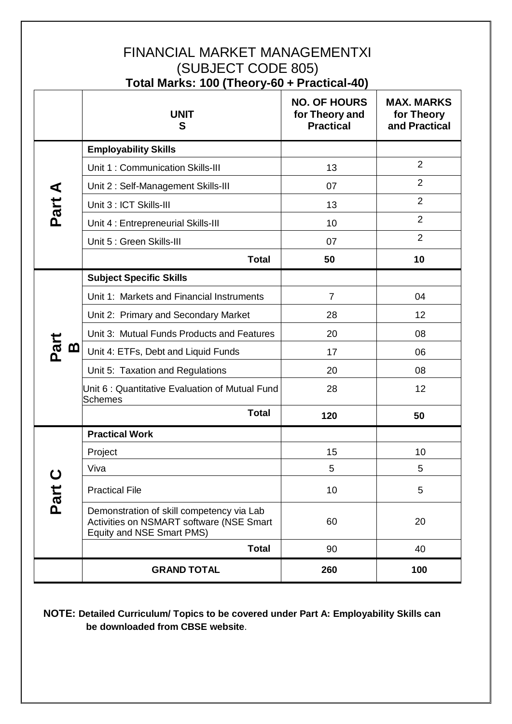## FINANCIAL MARKET MANAGEMENTXI (SUBJECT CODE 805) **Total Marks: 100 (Theory-60 + Practical-40)**

|                  | <b>UNIT</b><br>S                                                                                                   | <b>NO. OF HOURS</b><br>for Theory and<br><b>Practical</b> | <b>MAX. MARKS</b><br>for Theory<br>and Practical |
|------------------|--------------------------------------------------------------------------------------------------------------------|-----------------------------------------------------------|--------------------------------------------------|
|                  | <b>Employability Skills</b>                                                                                        |                                                           |                                                  |
|                  | Unit 1: Communication Skills-III                                                                                   | 13                                                        | $\overline{2}$                                   |
|                  | Unit 2: Self-Management Skills-III                                                                                 | 07                                                        | $\overline{2}$                                   |
| Part A           | Unit 3 : ICT Skills-III                                                                                            | 13                                                        | $\overline{2}$                                   |
|                  | Unit 4 : Entrepreneurial Skills-III                                                                                | 10                                                        | $\overline{2}$                                   |
|                  | Unit 5 : Green Skills-III                                                                                          | 07                                                        | $\overline{2}$                                   |
|                  | <b>Total</b>                                                                                                       | 50                                                        | 10                                               |
|                  | <b>Subject Specific Skills</b>                                                                                     |                                                           |                                                  |
|                  | Unit 1: Markets and Financial Instruments                                                                          | $\overline{7}$                                            | 04                                               |
|                  | Unit 2: Primary and Secondary Market                                                                               | 28                                                        | 12                                               |
|                  | Unit 3: Mutual Funds Products and Features                                                                         | 20                                                        | 08                                               |
| Part<br><u>ന</u> | Unit 4: ETFs, Debt and Liquid Funds                                                                                | 17                                                        | 06                                               |
|                  | Unit 5: Taxation and Regulations                                                                                   | 20                                                        | 08                                               |
|                  | Unit 6: Quantitative Evaluation of Mutual Fund<br><b>Schemes</b>                                                   | 28                                                        | 12                                               |
|                  | <b>Total</b>                                                                                                       | 120                                                       | 50                                               |
|                  | <b>Practical Work</b>                                                                                              |                                                           |                                                  |
|                  | Project                                                                                                            | 15                                                        | 10                                               |
| ပ                | Viva                                                                                                               | 5                                                         | 5                                                |
| Part             | <b>Practical File</b>                                                                                              | 10                                                        | 5                                                |
|                  | Demonstration of skill competency via Lab<br>Activities on NSMART software (NSE Smart<br>Equity and NSE Smart PMS) | 60                                                        | 20                                               |
|                  | <b>Total</b>                                                                                                       | 90                                                        | 40                                               |
|                  | <b>GRAND TOTAL</b>                                                                                                 | 260                                                       | 100                                              |

## **NOTE: Detailed Curriculum/ Topics to be covered under Part A: Employability Skills can be downloaded from CBSE website**.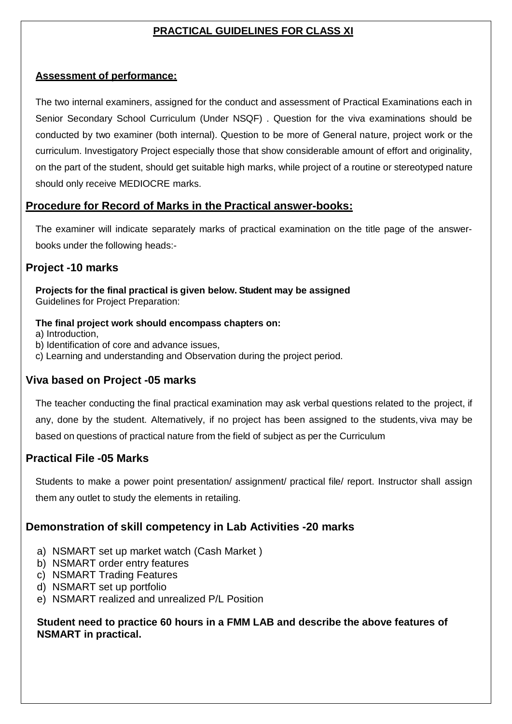## **PRACTICAL GUIDELINES FOR CLASS XI**

#### **Assessment of performance:**

The two internal examiners, assigned for the conduct and assessment of Practical Examinations each in Senior Secondary School Curriculum (Under NSQF) . Question for the viva examinations should be conducted by two examiner (both internal). Question to be more of General nature, project work or the curriculum. Investigatory Project especially those that show considerable amount of effort and originality, on the part of the student, should get suitable high marks, while project of a routine or stereotyped nature should only receive MEDIOCRE marks.

### **Procedure for Record of Marks in the Practical answer-books:**

The examiner will indicate separately marks of practical examination on the title page of the answerbooks under the following heads:-

### **Project -10 marks**

**Projects for the final practical is given below. Student may be assigned** Guidelines for Project Preparation:

#### **The final project work should encompass chapters on:**

a) Introduction,

- b) Identification of core and advance issues,
- c) Learning and understanding and Observation during the project period.

### **Viva based on Project -05 marks**

The teacher conducting the final practical examination may ask verbal questions related to the project, if any, done by the student. Alternatively, if no project has been assigned to the students, viva may be based on questions of practical nature from the field of subject as per the Curriculum

### **Practical File -05 Marks**

Students to make a power point presentation/ assignment/ practical file/ report. Instructor shall assign them any outlet to study the elements in retailing.

### **Demonstration of skill competency in Lab Activities -20 marks**

- a) NSMART set up market watch (Cash Market )
- b) NSMART order entry features
- c) NSMART Trading Features
- d) NSMART set up portfolio
- e) NSMART realized and unrealized P/L Position

#### **Student need to practice 60 hours in a FMM LAB and describe the above features of NSMART in practical.**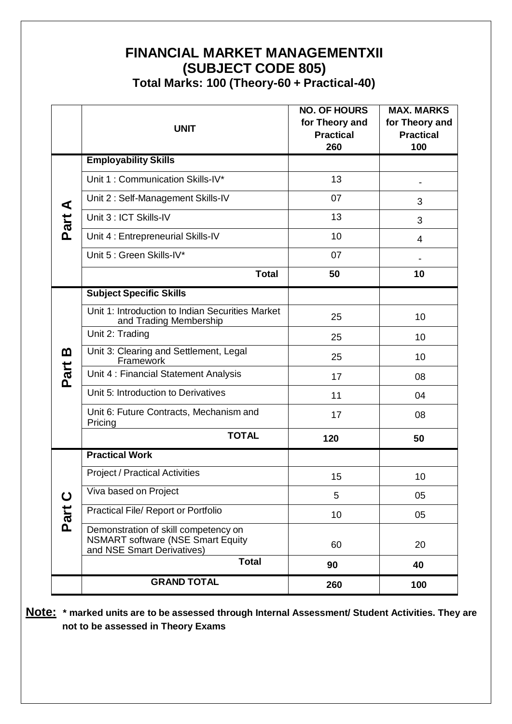## **FINANCIAL MARKET MANAGEMENTXII (SUBJECT CODE 805) Total Marks: 100 (Theory-60 + Practical-40)**

|             | <b>UNIT</b>                                                                                                    | <b>NO. OF HOURS</b><br>for Theory and<br><b>Practical</b> | <b>MAX. MARKS</b><br>for Theory and<br><b>Practical</b> |
|-------------|----------------------------------------------------------------------------------------------------------------|-----------------------------------------------------------|---------------------------------------------------------|
|             |                                                                                                                | 260                                                       | 100                                                     |
|             | <b>Employability Skills</b>                                                                                    |                                                           |                                                         |
|             | Unit 1: Communication Skills-IV*                                                                               | 13                                                        |                                                         |
| ⋖           | Unit 2: Self-Management Skills-IV                                                                              | 07                                                        | 3                                                       |
| Part        | Unit 3 : ICT Skills-IV                                                                                         | 13                                                        | 3                                                       |
|             | Unit 4 : Entrepreneurial Skills-IV                                                                             | 10                                                        | 4                                                       |
|             | Unit 5 : Green Skills-IV*                                                                                      | 07                                                        |                                                         |
|             | <b>Total</b>                                                                                                   | 50                                                        | 10                                                      |
|             | <b>Subject Specific Skills</b>                                                                                 |                                                           |                                                         |
|             | Unit 1: Introduction to Indian Securities Market<br>and Trading Membership                                     | 25                                                        | 10                                                      |
|             | Unit 2: Trading                                                                                                | 25                                                        | 10                                                      |
| m           | Unit 3: Clearing and Settlement, Legal<br>Framework                                                            | 25                                                        | 10                                                      |
| Part        | Unit 4 : Financial Statement Analysis                                                                          | 17                                                        | 08                                                      |
|             | Unit 5: Introduction to Derivatives                                                                            | 11                                                        | 04                                                      |
|             | Unit 6: Future Contracts, Mechanism and<br>Pricing                                                             | 17                                                        | 08                                                      |
|             | <b>TOTAL</b>                                                                                                   | 120                                                       | 50                                                      |
|             | <b>Practical Work</b>                                                                                          |                                                           |                                                         |
|             | <b>Project / Practical Activities</b>                                                                          | 15                                                        | 10                                                      |
| $\mathbf C$ | Viva based on Project                                                                                          | 5                                                         | 05                                                      |
| Part        | Practical File/ Report or Portfolio                                                                            | 10                                                        | 05                                                      |
|             | Demonstration of skill competency on<br><b>NSMART software (NSE Smart Equity</b><br>and NSE Smart Derivatives) | 60                                                        | 20                                                      |
|             | <b>Total</b>                                                                                                   | 90                                                        | 40                                                      |
|             | <b>GRAND TOTAL</b>                                                                                             | 260                                                       | 100                                                     |

**Note: \* marked units are to be assessed through Internal Assessment/ Student Activities. They are not to be assessed in Theory Exams**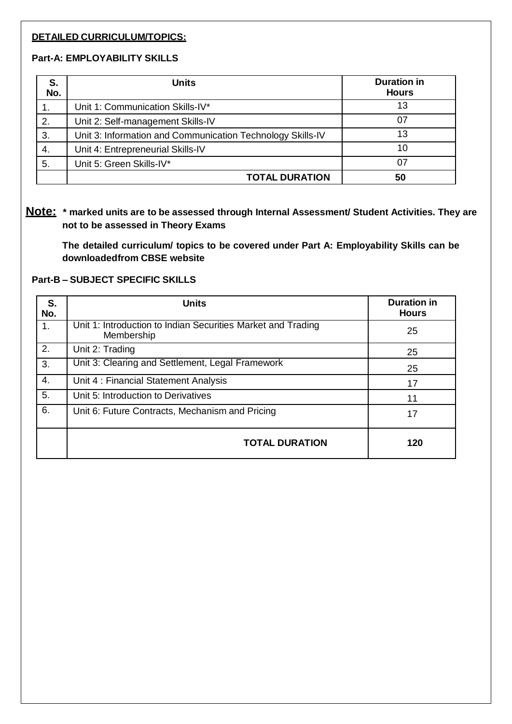#### **DETAILED CURRICULUM/TOPICS:**

#### **Part-A: EMPLOYABILITY SKILLS**

| S.<br>No. | <b>Units</b>                                               | <b>Duration in</b><br><b>Hours</b> |
|-----------|------------------------------------------------------------|------------------------------------|
|           | Unit 1: Communication Skills-IV*                           | 13                                 |
| 2.        | Unit 2: Self-management Skills-IV                          | 07                                 |
| 3.        | Unit 3: Information and Communication Technology Skills-IV | 13                                 |
| 4.        | Unit 4: Entrepreneurial Skills-IV                          | 10                                 |
| 5.        | Unit 5: Green Skills-IV*                                   |                                    |
|           | <b>TOTAL DURATION</b>                                      | 50                                 |

**Note: \* marked units are to be assessed through Internal Assessment/ Student Activities. They are not to be assessed in Theory Exams**

 **The detailed curriculum/ topics to be covered under Part A: Employability Skills can be downloadedfrom CBSE website**

#### **Part-B – SUBJECT SPECIFIC SKILLS**

| S.<br>No. | <b>Units</b>                                                               | <b>Duration in</b><br><b>Hours</b> |
|-----------|----------------------------------------------------------------------------|------------------------------------|
| 1.        | Unit 1: Introduction to Indian Securities Market and Trading<br>Membership | 25                                 |
| 2.        | Unit 2: Trading                                                            | 25                                 |
| 3.        | Unit 3: Clearing and Settlement, Legal Framework                           | 25                                 |
| 4.        | Unit 4: Financial Statement Analysis                                       | 17                                 |
| 5.        | Unit 5: Introduction to Derivatives                                        | 11                                 |
| 6.        | Unit 6: Future Contracts, Mechanism and Pricing                            | 17                                 |
|           | <b>TOTAL DURATION</b>                                                      | 120                                |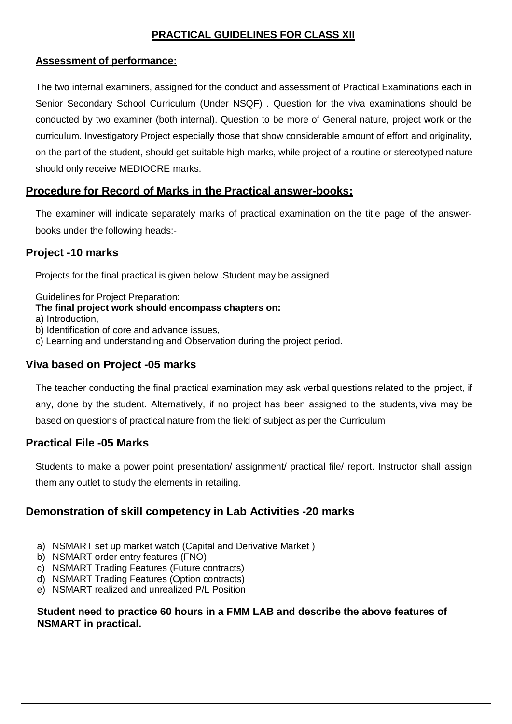## **PRACTICAL GUIDELINES FOR CLASS XII**

#### **Assessment of performance:**

The two internal examiners, assigned for the conduct and assessment of Practical Examinations each in Senior Secondary School Curriculum (Under NSQF) . Question for the viva examinations should be conducted by two examiner (both internal). Question to be more of General nature, project work or the curriculum. Investigatory Project especially those that show considerable amount of effort and originality, on the part of the student, should get suitable high marks, while project of a routine or stereotyped nature should only receive MEDIOCRE marks.

### **Procedure for Record of Marks in the Practical answer-books:**

The examiner will indicate separately marks of practical examination on the title page of the answerbooks under the following heads:-

#### **Project -10 marks**

Projects for the final practical is given below .Student may be assigned

Guidelines for Project Preparation:

#### **The final project work should encompass chapters on:**

a) Introduction,

b) Identification of core and advance issues,

c) Learning and understanding and Observation during the project period.

#### **Viva based on Project -05 marks**

The teacher conducting the final practical examination may ask verbal questions related to the project, if any, done by the student. Alternatively, if no project has been assigned to the students, viva may be based on questions of practical nature from the field of subject as per the Curriculum

### **Practical File -05 Marks**

Students to make a power point presentation/ assignment/ practical file/ report. Instructor shall assign them any outlet to study the elements in retailing.

### **Demonstration of skill competency in Lab Activities -20 marks**

- a) NSMART set up market watch (Capital and Derivative Market )
- b) NSMART order entry features (FNO)
- c) NSMART Trading Features (Future contracts)
- d) NSMART Trading Features (Option contracts)
- e) NSMART realized and unrealized P/L Position

#### **Student need to practice 60 hours in a FMM LAB and describe the above features of NSMART in practical.**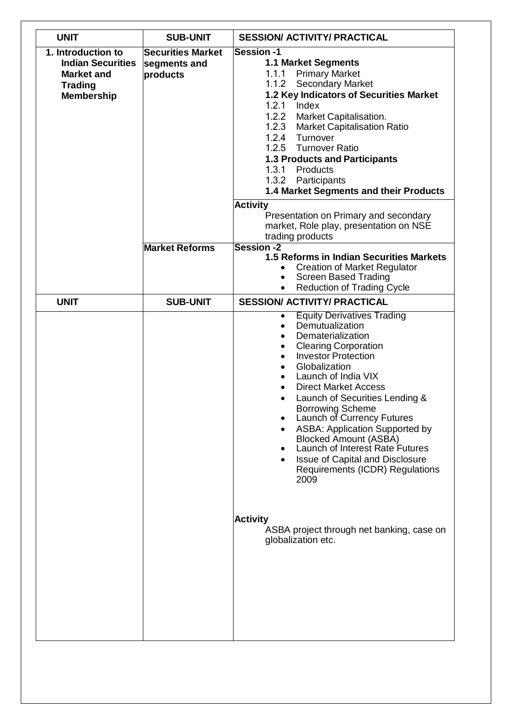| <b>SUB-UNIT</b>                                      | <b>SESSION/ ACTIVITY/ PRACTICAL</b>                                                                                                                                                                                                                                                                                                                                                                                                                                                                                                                                                                                                                                                  |  |
|------------------------------------------------------|--------------------------------------------------------------------------------------------------------------------------------------------------------------------------------------------------------------------------------------------------------------------------------------------------------------------------------------------------------------------------------------------------------------------------------------------------------------------------------------------------------------------------------------------------------------------------------------------------------------------------------------------------------------------------------------|--|
| <b>Securities Market</b><br>segments and<br>products | <b>Session-1</b><br><b>1.1 Market Segments</b><br><b>Primary Market</b><br>1.1.1<br>1.1.2<br><b>Secondary Market</b><br>1.2 Key Indicators of Securities Market<br>1.2.1<br>Index<br>1.2.2 Market Capitalisation.<br>1.2.3 Market Capitalisation Ratio<br>1.2.4 Turnover<br>1.2.5 Turnover Ratio<br><b>1.3 Products and Participants</b><br>1.3.1<br>Products<br>1.3.2 Participants<br>1.4 Market Segments and their Products<br><b>Activity</b>                                                                                                                                                                                                                                     |  |
|                                                      | Presentation on Primary and secondary<br>market, Role play, presentation on NSE<br>trading products                                                                                                                                                                                                                                                                                                                                                                                                                                                                                                                                                                                  |  |
|                                                      | <b>Session -2</b><br>1.5 Reforms in Indian Securities Markets<br><b>Creation of Market Regulator</b><br><b>Screen Based Trading</b><br><b>Reduction of Trading Cycle</b>                                                                                                                                                                                                                                                                                                                                                                                                                                                                                                             |  |
| <b>SUB-UNIT</b>                                      | <b>SESSION/ ACTIVITY/ PRACTICAL</b>                                                                                                                                                                                                                                                                                                                                                                                                                                                                                                                                                                                                                                                  |  |
|                                                      | <b>Equity Derivatives Trading</b><br>٠<br>Demutualization<br>$\bullet$<br>Dematerialization<br>$\bullet$<br><b>Clearing Corporation</b><br>٠<br><b>Investor Protection</b><br>$\bullet$<br>Globalization<br>٠<br>Launch of India VIX<br>$\bullet$<br><b>Direct Market Access</b><br>٠<br>Launch of Securities Lending &<br>$\bullet$<br><b>Borrowing Scheme</b><br>Launch of Currency Futures<br><b>ASBA: Application Supported by</b><br><b>Blocked Amount (ASBA)</b><br>Launch of Interest Rate Futures<br><b>Issue of Capital and Disclosure</b><br>Requirements (ICDR) Regulations<br>2009<br><b>Activity</b><br>ASBA project through net banking, case on<br>globalization etc. |  |
|                                                      | <b>Market Reforms</b>                                                                                                                                                                                                                                                                                                                                                                                                                                                                                                                                                                                                                                                                |  |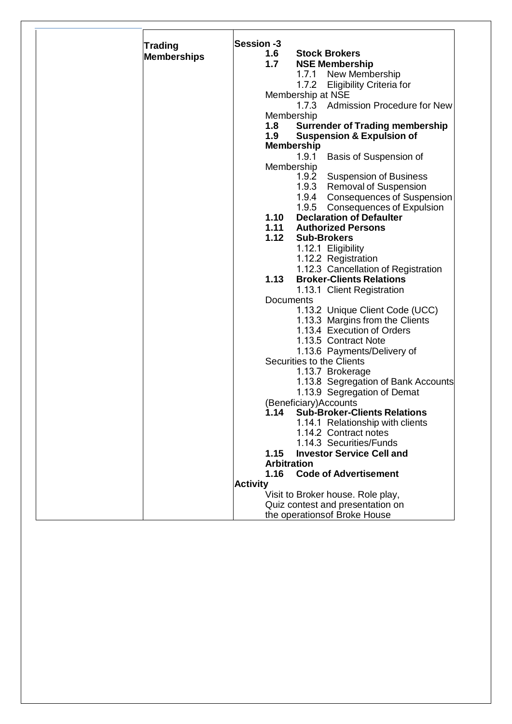| <b>Trading</b>     | Session -3      |                                                         |
|--------------------|-----------------|---------------------------------------------------------|
| <b>Memberships</b> | 1.6             | <b>Stock Brokers</b>                                    |
|                    | 1.7             | <b>NSE Membership</b>                                   |
|                    |                 | New Membership<br>1.7.1                                 |
|                    |                 | 1.7.2<br><b>Eligibility Criteria for</b>                |
|                    |                 | Membership at NSE                                       |
|                    |                 | 1.7.3<br><b>Admission Procedure for New</b>             |
|                    |                 | Membership                                              |
|                    | 1.8             | <b>Surrender of Trading membership</b>                  |
|                    | 1.9             | <b>Suspension &amp; Expulsion of</b>                    |
|                    |                 | <b>Membership</b>                                       |
|                    |                 | 1.9.1<br>Basis of Suspension of                         |
|                    |                 | Membership                                              |
|                    |                 | 1.9.2<br><b>Suspension of Business</b>                  |
|                    |                 | 1.9.3<br><b>Removal of Suspension</b>                   |
|                    |                 | 1.9.4<br><b>Consequences of Suspension</b>              |
|                    |                 | 1.9.5<br>Consequences of Expulsion                      |
|                    | 1.10            | <b>Declaration of Defaulter</b>                         |
|                    | 1.11            | <b>Authorized Persons</b>                               |
|                    | 1.12            | <b>Sub-Brokers</b>                                      |
|                    |                 | 1.12.1 Eligibility                                      |
|                    |                 | 1.12.2 Registration                                     |
|                    |                 | 1.12.3 Cancellation of Registration                     |
|                    | 1.13            | <b>Broker-Clients Relations</b>                         |
|                    |                 | 1.13.1 Client Registration                              |
|                    |                 | Documents                                               |
|                    |                 | 1.13.2 Unique Client Code (UCC)                         |
|                    |                 | 1.13.3 Margins from the Clients                         |
|                    |                 | 1.13.4 Execution of Orders                              |
|                    |                 | 1.13.5 Contract Note                                    |
|                    |                 | 1.13.6 Payments/Delivery of                             |
|                    |                 | Securities to the Clients                               |
|                    |                 | 1.13.7 Brokerage<br>1.13.8 Segregation of Bank Accounts |
|                    |                 | 1.13.9 Segregation of Demat                             |
|                    |                 | (Beneficiary)Accounts                                   |
|                    |                 | 1.14 Sub-Broker-Clients Relations                       |
|                    |                 | 1.14.1 Relationship with clients                        |
|                    |                 | 1.14.2 Contract notes                                   |
|                    |                 | 1.14.3 Securities/Funds                                 |
|                    | 1.15            | <b>Investor Service Cell and</b>                        |
|                    |                 | <b>Arbitration</b>                                      |
|                    | 1.16            | <b>Code of Advertisement</b>                            |
|                    | <b>Activity</b> |                                                         |
|                    |                 | Visit to Broker house. Role play,                       |
|                    |                 | Quiz contest and presentation on                        |
|                    |                 | the operations of Broke House                           |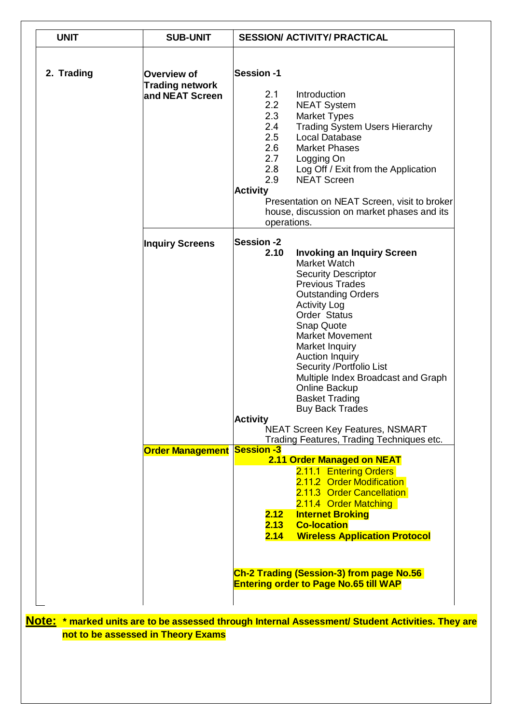| <b>UNIT</b> | <b>SUB-UNIT</b>                                          | <b>SESSION/ ACTIVITY/ PRACTICAL</b>                                                                                                                                                                                                                                                                                                                                                                                                                                                                                                              |
|-------------|----------------------------------------------------------|--------------------------------------------------------------------------------------------------------------------------------------------------------------------------------------------------------------------------------------------------------------------------------------------------------------------------------------------------------------------------------------------------------------------------------------------------------------------------------------------------------------------------------------------------|
| 2. Trading  | Overview of<br><b>Trading network</b><br>and NEAT Screen | <b>Session-1</b><br>Introduction<br>2.1<br>2.2<br><b>NEAT System</b><br>2.3<br><b>Market Types</b><br>2.4<br><b>Trading System Users Hierarchy</b><br>2.5<br><b>Local Database</b><br>2.6<br><b>Market Phases</b><br>2.7<br>Logging On<br>2.8<br>Log Off / Exit from the Application<br>2.9<br><b>NEAT Screen</b><br><b>Activity</b><br>Presentation on NEAT Screen, visit to broker<br>house, discussion on market phases and its<br>operations.                                                                                                |
|             | <b>Inquiry Screens</b>                                   | <b>Session -2</b><br>2.10<br><b>Invoking an Inquiry Screen</b><br>Market Watch<br><b>Security Descriptor</b><br><b>Previous Trades</b><br><b>Outstanding Orders</b><br><b>Activity Log</b><br>Order Status<br><b>Snap Quote</b><br><b>Market Movement</b><br>Market Inquiry<br>Auction Inquiry<br>Security / Portfolio List<br>Multiple Index Broadcast and Graph<br>Online Backup<br><b>Basket Trading</b><br><b>Buy Back Trades</b><br><b>Activity</b><br><b>NEAT Screen Key Features, NSMART</b><br>Trading Features, Trading Techniques etc. |
|             | <b>Order Management Session -3</b>                       | 2.11 Order Managed on NEAT<br>2.11.1 Entering Orders<br>2.11.2 Order Modification<br>2.11.3 Order Cancellation<br>2.11.4 Order Matching<br>2.12<br><b>Internet Broking</b><br><b>Co-location</b><br>2.13<br><b>Wireless Application Protocol</b><br>2.14<br>Ch-2 Trading (Session-3) from page No.56<br><b>Entering order to Page No.65 till WAP</b>                                                                                                                                                                                             |

**Note: \* marked units are to be assessed through Internal Assessment/ Student Activities. They are not to be assessed in Theory Exams**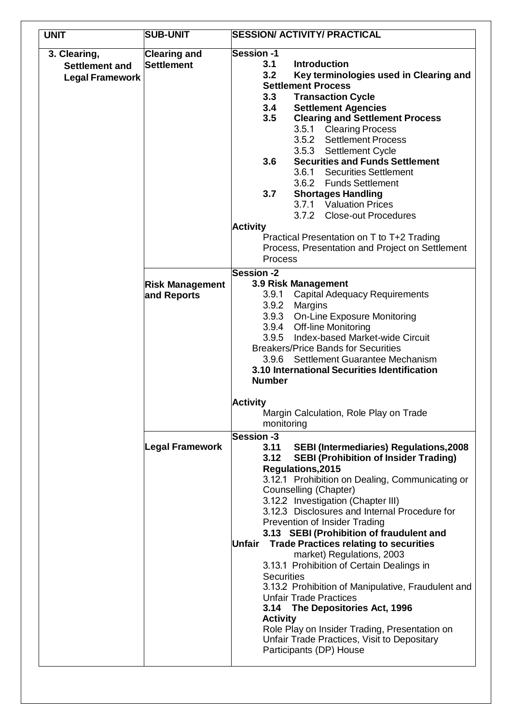| <b>UNIT</b>            | <b>SUB-UNIT</b>        | <b>SESSION/ ACTIVITY/ PRACTICAL</b>                                                  |
|------------------------|------------------------|--------------------------------------------------------------------------------------|
| 3. Clearing,           | <b>Clearing and</b>    | <b>Session-1</b>                                                                     |
| <b>Settlement and</b>  | Settlement             | 3.1<br><b>Introduction</b>                                                           |
| <b>Legal Framework</b> |                        | 3.2<br>Key terminologies used in Clearing and                                        |
|                        |                        | <b>Settlement Process</b>                                                            |
|                        |                        | 3.3<br><b>Transaction Cycle</b>                                                      |
|                        |                        | 3.4<br><b>Settlement Agencies</b>                                                    |
|                        |                        | 3.5<br><b>Clearing and Settlement Process</b>                                        |
|                        |                        | 3.5.1 Clearing Process                                                               |
|                        |                        | 3.5.2 Settlement Process                                                             |
|                        |                        | 3.5.3 Settlement Cycle<br><b>Securities and Funds Settlement</b>                     |
|                        |                        | 3.6<br>3.6.1 Securities Settlement                                                   |
|                        |                        | 3.6.2 Funds Settlement                                                               |
|                        |                        | 3.7<br><b>Shortages Handling</b>                                                     |
|                        |                        | 3.7.1 Valuation Prices                                                               |
|                        |                        | 3.7.2 Close-out Procedures                                                           |
|                        |                        | <b>Activity</b>                                                                      |
|                        |                        | Practical Presentation on T to T+2 Trading                                           |
|                        |                        | Process, Presentation and Project on Settlement                                      |
|                        |                        | Process                                                                              |
|                        |                        | <b>Session-2</b>                                                                     |
|                        | <b>Risk Management</b> | <b>3.9 Risk Management</b>                                                           |
|                        | and Reports            | <b>Capital Adequacy Requirements</b><br>3.9.1                                        |
|                        |                        | 3.9.2 Margins                                                                        |
|                        |                        | 3.9.3 On-Line Exposure Monitoring                                                    |
|                        |                        | 3.9.4 Off-line Monitoring                                                            |
|                        |                        | 3.9.5 Index-based Market-wide Circuit                                                |
|                        |                        | <b>Breakers/Price Bands for Securities</b>                                           |
|                        |                        | 3.9.6 Settlement Guarantee Mechanism<br>3.10 International Securities Identification |
|                        |                        | <b>Number</b>                                                                        |
|                        |                        | <b>Activity</b>                                                                      |
|                        |                        | Margin Calculation, Role Play on Trade                                               |
|                        |                        | monitoring                                                                           |
|                        |                        | Session -3                                                                           |
|                        | Legal Framework        | <b>SEBI (Intermediaries) Regulations, 2008</b><br>3.11                               |
|                        |                        | 3.12<br><b>SEBI (Prohibition of Insider Trading)</b>                                 |
|                        |                        | Regulations, 2015                                                                    |
|                        |                        | 3.12.1 Prohibition on Dealing, Communicating or                                      |
|                        |                        | Counselling (Chapter)                                                                |
|                        |                        | 3.12.2 Investigation (Chapter III)                                                   |
|                        |                        | 3.12.3 Disclosures and Internal Procedure for                                        |
|                        |                        | Prevention of Insider Trading                                                        |
|                        |                        | 3.13 SEBI (Prohibition of fraudulent and                                             |
|                        |                        | <b>Trade Practices relating to securities</b><br>Unfair<br>market) Regulations, 2003 |
|                        |                        | 3.13.1 Prohibition of Certain Dealings in                                            |
|                        |                        | <b>Securities</b>                                                                    |
|                        |                        | 3.13.2 Prohibition of Manipulative, Fraudulent and                                   |
|                        |                        | <b>Unfair Trade Practices</b>                                                        |
|                        |                        | The Depositories Act, 1996<br>3.14                                                   |
|                        |                        | <b>Activity</b>                                                                      |
|                        |                        | Role Play on Insider Trading, Presentation on                                        |
|                        |                        | Unfair Trade Practices, Visit to Depositary                                          |
|                        |                        | Participants (DP) House                                                              |
|                        |                        |                                                                                      |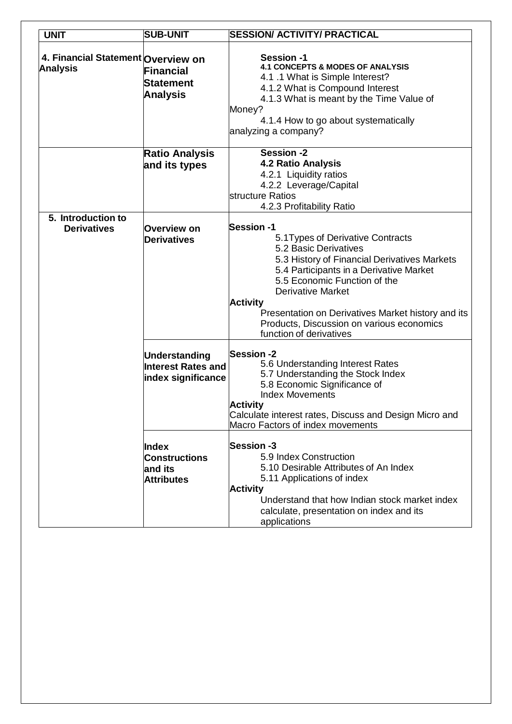| <b>UNIT</b>                                           | <b>SUB-UNIT</b>                                                         | <b>SESSION/ ACTIVITY/ PRACTICAL</b>                                                                                                                                                                                                                                                                                                                                                     |
|-------------------------------------------------------|-------------------------------------------------------------------------|-----------------------------------------------------------------------------------------------------------------------------------------------------------------------------------------------------------------------------------------------------------------------------------------------------------------------------------------------------------------------------------------|
| 4. Financial Statement Overview on<br><b>Analysis</b> | Financial<br>Statement<br><b>Analysis</b>                               | <b>Session-1</b><br><b>4.1 CONCEPTS &amp; MODES OF ANALYSIS</b><br>4.1 .1 What is Simple Interest?<br>4.1.2 What is Compound Interest<br>4.1.3 What is meant by the Time Value of<br>Money?<br>4.1.4 How to go about systematically<br>analyzing a company?                                                                                                                             |
|                                                       | <b>Ratio Analysis</b><br>and its types                                  | <b>Session -2</b><br><b>4.2 Ratio Analysis</b><br>4.2.1 Liquidity ratios<br>4.2.2 Leverage/Capital<br>structure Ratios<br>4.2.3 Profitability Ratio                                                                                                                                                                                                                                     |
| 5. Introduction to<br><b>Derivatives</b>              | Overview on<br><b>Derivatives</b>                                       | <b>Session -1</b><br>5.1 Types of Derivative Contracts<br>5.2 Basic Derivatives<br>5.3 History of Financial Derivatives Markets<br>5.4 Participants in a Derivative Market<br>5.5 Economic Function of the<br><b>Derivative Market</b><br><b>Activity</b><br>Presentation on Derivatives Market history and its<br>Products, Discussion on various economics<br>function of derivatives |
|                                                       | <b>Understanding</b><br><b>Interest Rates and</b><br>index significance | <b>Session-2</b><br>5.6 Understanding Interest Rates<br>5.7 Understanding the Stock Index<br>5.8 Economic Significance of<br><b>Index Movements</b><br><b>Activity</b><br>Calculate interest rates, Discuss and Design Micro and<br>Macro Factors of index movements                                                                                                                    |
|                                                       | <b>Index</b><br><b>Constructions</b><br>and its<br><b>Attributes</b>    | <b>Session-3</b><br>5.9 Index Construction<br>5.10 Desirable Attributes of An Index<br>5.11 Applications of index<br><b>Activity</b><br>Understand that how Indian stock market index<br>calculate, presentation on index and its<br>applications                                                                                                                                       |